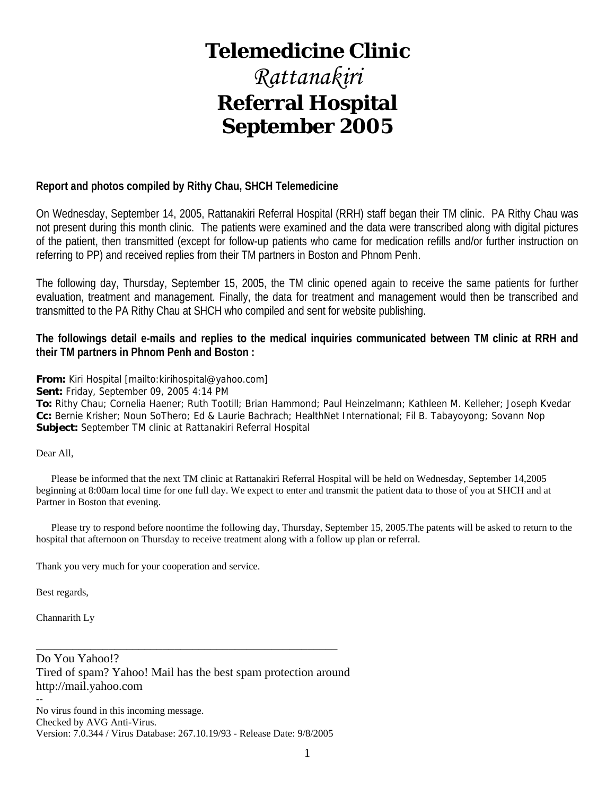# **Telemedicine Clinic**

# *Rattanakiri*  **Referral Hospital September 2005**

### **Report and photos compiled by Rithy Chau, SHCH Telemedicine**

On Wednesday, September 14, 2005, Rattanakiri Referral Hospital (RRH) staff began their TM clinic. PA Rithy Chau was not present during this month clinic. The patients were examined and the data were transcribed along with digital pictures of the patient, then transmitted (except for follow-up patients who came for medication refills and/or further instruction on referring to PP) and received replies from their TM partners in Boston and Phnom Penh.

The following day, Thursday, September 15, 2005, the TM clinic opened again to receive the same patients for further evaluation, treatment and management. Finally, the data for treatment and management would then be transcribed and transmitted to the PA Rithy Chau at SHCH who compiled and sent for website publishing.

**The followings detail e-mails and replies to the medical inquiries communicated between TM clinic at RRH and their TM partners in Phnom Penh and Boston :** 

**From:** Kiri Hospital [mailto:kirihospital@yahoo.com]

**Sent:** Friday, September 09, 2005 4:14 PM

**To:** Rithy Chau; Cornelia Haener; Ruth Tootill; Brian Hammond; Paul Heinzelmann; Kathleen M. Kelleher; Joseph Kvedar **Cc:** Bernie Krisher; Noun SoThero; Ed & Laurie Bachrach; HealthNet International; Fil B. Tabayoyong; Sovann Nop **Subject:** September TM clinic at Rattanakiri Referral Hospital

Dear All,

 Please be informed that the next TM clinic at Rattanakiri Referral Hospital will be held on Wednesday, September 14,2005 beginning at 8:00am local time for one full day. We expect to enter and transmit the patient data to those of you at SHCH and at Partner in Boston that evening.

 Please try to respond before noontime the following day, Thursday, September 15, 2005.The patents will be asked to return to the hospital that afternoon on Thursday to receive treatment along with a follow up plan or referral.

Thank you very much for your cooperation and service.

Best regards,

Channarith Ly

Do You Yahoo!? Tired of spam? Yahoo! Mail has the best spam protection around http://mail.yahoo.com --

\_\_\_\_\_\_\_\_\_\_\_\_\_\_\_\_\_\_\_\_\_\_\_\_\_\_\_\_\_\_\_\_\_\_\_\_\_\_\_\_\_\_\_\_\_\_\_\_\_\_

No virus found in this incoming message. Checked by AVG Anti-Virus. Version: 7.0.344 / Virus Database: 267.10.19/93 - Release Date: 9/8/2005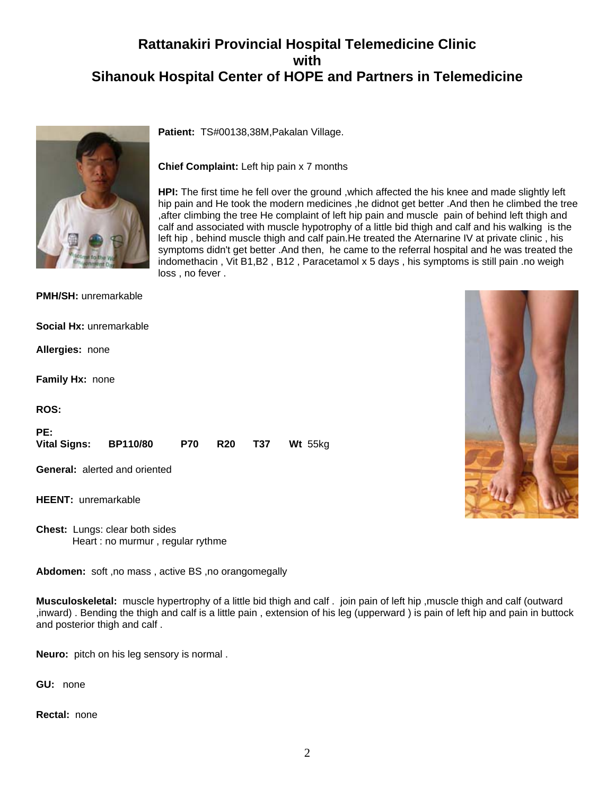# **Rattanakiri Provincial Hospital Telemedicine Clinic with Sihanouk Hospital Center of HOPE and Partners in Telemedicine**



**Patient:** TS#00138,38M,Pakalan Village.

**Chief Complaint:** Left hip pain x 7 months

**HPI:** The first time he fell over the ground ,which affected the his knee and made slightly left hip pain and He took the modern medicines , he didnot get better . And then he climbed the tree ,after climbing the tree He complaint of left hip pain and muscle pain of behind left thigh and calf and associated with muscle hypotrophy of a little bid thigh and calf and his walking is the left hip , behind muscle thigh and calf pain.He treated the Aternarine IV at private clinic , his symptoms didn't get better .And then, he came to the referral hospital and he was treated the indomethacin , Vit B1,B2 , B12 , Paracetamol x 5 days , his symptoms is still pain .no weigh loss , no fever .

| <b>PMH/SH:</b> unremarkable          |            |            |     |         |
|--------------------------------------|------------|------------|-----|---------|
| Social Hx: unremarkable              |            |            |     |         |
| Allergies: none                      |            |            |     |         |
| Family Hx: none                      |            |            |     |         |
| <b>ROS:</b>                          |            |            |     |         |
| PE:<br>Vital Signs: BP110/80         | <b>P70</b> | <b>R20</b> | T37 | Wt 55kg |
| <b>General:</b> alerted and oriented |            |            |     |         |
| <b>HEENT: unremarkable</b>           |            |            |     |         |

**Chest:** Lungs: clear both sides Heart : no murmur , regular rythme

**Abdomen:** soft ,no mass , active BS ,no orangomegally

**Musculoskeletal:** muscle hypertrophy of a little bid thigh and calf . join pain of left hip ,muscle thigh and calf (outward ,inward) . Bending the thigh and calf is a little pain , extension of his leg (upperward ) is pain of left hip and pain in buttock and posterior thigh and calf .

**Neuro:** pitch on his leg sensory is normal .

**GU:** none

**Rectal:** none

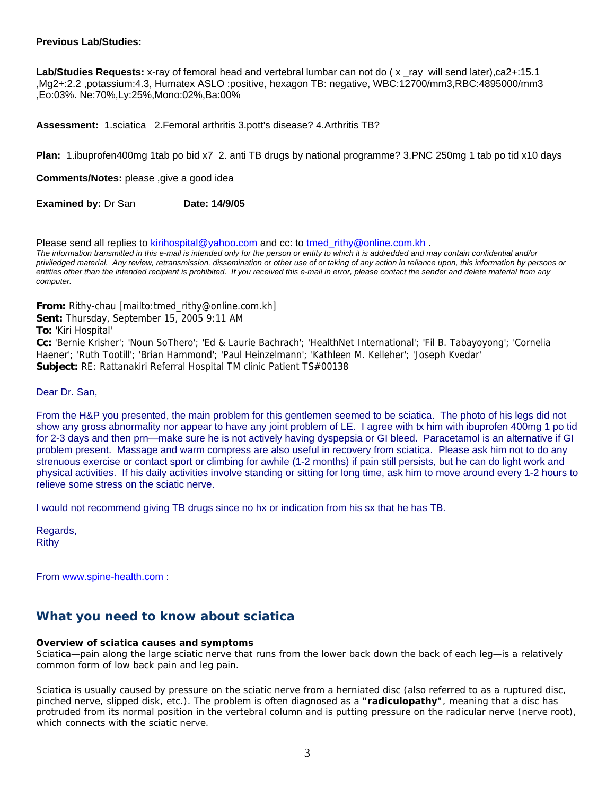#### **Previous Lab/Studies:**

Lab/Studies Requests: x-ray of femoral head and vertebral lumbar can not do (x ray will send later),ca2+:15.1 ,Mg2+:2.2 ,potassium:4.3, Humatex ASLO :positive, hexagon TB: negative, WBC:12700/mm3,RBC:4895000/mm3 ,Eo:03%. Ne:70%,Ly:25%,Mono:02%,Ba:00%

**Assessment:** 1.sciatica 2.Femoral arthritis 3.pott's disease? 4.Arthritis TB?

**Plan:** 1.ibuprofen400mg 1tab po bid x7 2. anti TB drugs by national programme? 3.PNC 250mg 1 tab po tid x10 days

**Comments/Notes:** please ,give a good idea

**Examined by: Dr San Date: 14/9/05** 

Please send all replies to kirihospital@yahoo.com and cc: to tmed\_rithy@online.com.kh.

*The information transmitted in this e-mail is intended only for the person or entity to which it is addredded and may contain confidential and/or priviledged material. Any review, retransmission, dissemination or other use of or taking of any action in reliance upon, this information by persons or*  entities other than the intended recipient is prohibited. If you received this e-mail in error, please contact the sender and delete material from any *computer.*

**From:** Rithy-chau [mailto:tmed\_rithy@online.com.kh]

**Sent:** Thursday, September 15, 2005 9:11 AM

**To:** 'Kiri Hospital'

**Cc:** 'Bernie Krisher'; 'Noun SoThero'; 'Ed & Laurie Bachrach'; 'HealthNet International'; 'Fil B. Tabayoyong'; 'Cornelia Haener'; 'Ruth Tootill'; 'Brian Hammond'; 'Paul Heinzelmann'; 'Kathleen M. Kelleher'; 'Joseph Kvedar' **Subject:** RE: Rattanakiri Referral Hospital TM clinic Patient TS#00138

Dear Dr. San,

From the H&P you presented, the main problem for this gentlemen seemed to be sciatica. The photo of his legs did not show any gross abnormality nor appear to have any joint problem of LE. I agree with tx him with ibuprofen 400mg 1 po tid for 2-3 days and then prn—make sure he is not actively having dyspepsia or GI bleed. Paracetamol is an alternative if GI problem present. Massage and warm compress are also useful in recovery from sciatica. Please ask him not to do any strenuous exercise or contact sport or climbing for awhile (1-2 months) if pain still persists, but he can do light work and physical activities. If his daily activities involve standing or sitting for long time, ask him to move around every 1-2 hours to relieve some stress on the sciatic nerve.

I would not recommend giving TB drugs since no hx or indication from his sx that he has TB.

Regards, Rithy

From www.spine-health.com :

## **What you need to know about sciatica**

#### **Overview of sciatica causes and symptoms**

Sciatica—pain along the large sciatic nerve that runs from the lower back down the back of each leg—is a relatively common form of low back pain and leg pain.

Sciatica is usually caused by pressure on the sciatic nerve from a herniated disc (also referred to as a ruptured disc, pinched nerve, slipped disk, etc.). The problem is often diagnosed as a **"radiculopathy"**, meaning that a disc has protruded from its normal position in the vertebral column and is putting pressure on the radicular nerve (nerve root), which connects with the sciatic nerve.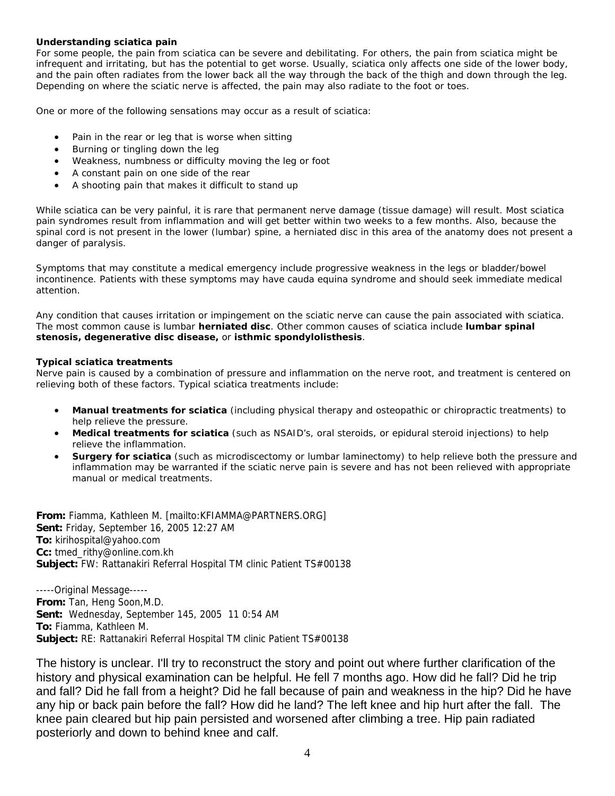#### **Understanding sciatica pain**

For some people, the pain from sciatica can be severe and debilitating. For others, the pain from sciatica might be infrequent and irritating, but has the potential to get worse. Usually, sciatica only affects one side of the lower body, and the pain often radiates from the lower back all the way through the back of the thigh and down through the leg. Depending on where the sciatic nerve is affected, the pain may also radiate to the foot or toes.

One or more of the following sensations may occur as a result of sciatica:

- Pain in the rear or leg that is worse when sitting
- Burning or tingling down the leg
- Weakness, numbness or difficulty moving the leg or foot
- A constant pain on one side of the rear
- A shooting pain that makes it difficult to stand up

While sciatica can be very painful, it is rare that permanent nerve damage (tissue damage) will result. Most sciatica pain syndromes result from inflammation and will get better within two weeks to a few months. Also, because the spinal cord is not present in the lower (lumbar) spine, a herniated disc in this area of the anatomy does not present a danger of paralysis.

Symptoms that may constitute a medical emergency include progressive weakness in the legs or bladder/bowel incontinence. Patients with these symptoms may have cauda equina syndrome and should seek immediate medical attention.

Any condition that causes irritation or impingement on the sciatic nerve can cause the pain associated with sciatica. The most common cause is lumbar **herniated disc**. Other common causes of sciatica include **lumbar spinal stenosis, degenerative disc disease,** or **isthmic spondylolisthesis**.

#### **Typical sciatica treatments**

Nerve pain is caused by a combination of pressure and inflammation on the nerve root, and treatment is centered on relieving both of these factors. Typical sciatica treatments include:

- **Manual treatments for sciatica** (including physical therapy and osteopathic or chiropractic treatments) to help relieve the pressure.
- **Medical treatments for sciatica** (such as NSAID's, oral steroids, or epidural steroid injections) to help relieve the inflammation.
- **Surgery for sciatica** (such as microdiscectomy or lumbar laminectomy) to help relieve both the pressure and inflammation may be warranted if the sciatic nerve pain is severe and has not been relieved with appropriate manual or medical treatments.

**From:** Fiamma, Kathleen M. [mailto:KFIAMMA@PARTNERS.ORG] **Sent:** Friday, September 16, 2005 12:27 AM **To:** kirihospital@yahoo.com **Cc:** tmed\_rithy@online.com.kh **Subject:** FW: Rattanakiri Referral Hospital TM clinic Patient TS#00138

-----Original Message----- **From:** Tan, Heng Soon,M.D. **Sent:** Wednesday, September 145, 2005 11 0:54 AM **To:** Fiamma, Kathleen M. **Subject:** RE: Rattanakiri Referral Hospital TM clinic Patient TS#00138

The history is unclear. I'll try to reconstruct the story and point out where further clarification of the history and physical examination can be helpful. He fell 7 months ago. How did he fall? Did he trip and fall? Did he fall from a height? Did he fall because of pain and weakness in the hip? Did he have any hip or back pain before the fall? How did he land? The left knee and hip hurt after the fall. The knee pain cleared but hip pain persisted and worsened after climbing a tree. Hip pain radiated posteriorly and down to behind knee and calf.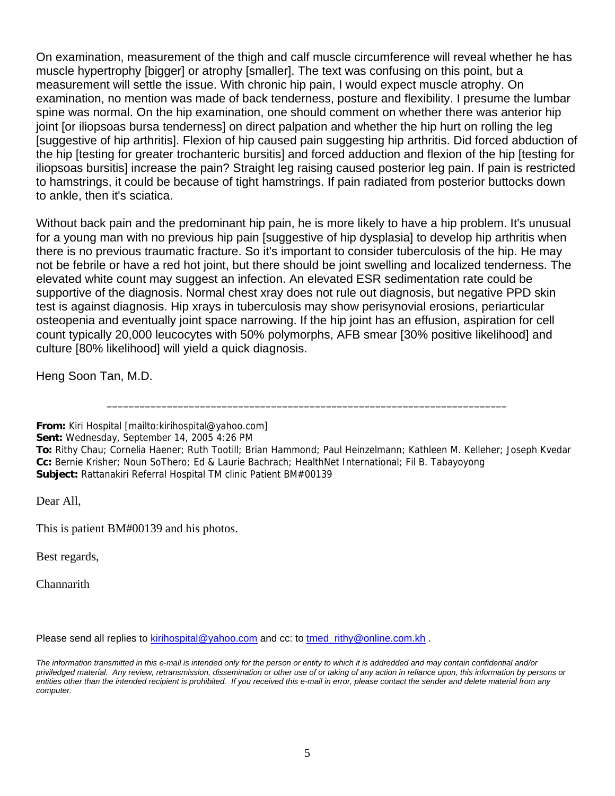On examination, measurement of the thigh and calf muscle circumference will reveal whether he has muscle hypertrophy [bigger] or atrophy [smaller]. The text was confusing on this point, but a measurement will settle the issue. With chronic hip pain, I would expect muscle atrophy. On examination, no mention was made of back tenderness, posture and flexibility. I presume the lumbar spine was normal. On the hip examination, one should comment on whether there was anterior hip joint [or iliopsoas bursa tenderness] on direct palpation and whether the hip hurt on rolling the leg [suggestive of hip arthritis]. Flexion of hip caused pain suggesting hip arthritis. Did forced abduction of the hip [testing for greater trochanteric bursitis] and forced adduction and flexion of the hip [testing for iliopsoas bursitis] increase the pain? Straight leg raising caused posterior leg pain. If pain is restricted to hamstrings, it could be because of tight hamstrings. If pain radiated from posterior buttocks down to ankle, then it's sciatica.

Without back pain and the predominant hip pain, he is more likely to have a hip problem. It's unusual for a young man with no previous hip pain [suggestive of hip dysplasia] to develop hip arthritis when there is no previous traumatic fracture. So it's important to consider tuberculosis of the hip. He may not be febrile or have a red hot joint, but there should be joint swelling and localized tenderness. The elevated white count may suggest an infection. An elevated ESR sedimentation rate could be supportive of the diagnosis. Normal chest xray does not rule out diagnosis, but negative PPD skin test is against diagnosis. Hip xrays in tuberculosis may show perisynovial erosions, periarticular osteopenia and eventually joint space narrowing. If the hip joint has an effusion, aspiration for cell count typically 20,000 leucocytes with 50% polymorphs, AFB smear [30% positive likelihood] and culture [80% likelihood] will yield a quick diagnosis.

Heng Soon Tan, M.D.

**From:** Kiri Hospital [mailto:kirihospital@yahoo.com]

**Sent:** Wednesday, September 14, 2005 4:26 PM

\_\_\_\_\_\_\_\_\_\_\_\_\_\_\_\_\_\_\_\_\_\_\_\_\_\_\_\_\_\_\_\_\_\_\_\_\_\_\_\_\_\_\_\_\_\_\_\_\_\_\_\_\_\_\_\_\_\_\_\_\_\_\_\_\_\_\_\_\_\_\_\_\_

Dear All,

This is patient BM#00139 and his photos.

Best regards,

**Channarith** 

Please send all replies to kirihospital@yahoo.com and cc: to tmed rithy@online.com.kh .

**To:** Rithy Chau; Cornelia Haener; Ruth Tootill; Brian Hammond; Paul Heinzelmann; Kathleen M. Kelleher; Joseph Kvedar **Cc:** Bernie Krisher; Noun SoThero; Ed & Laurie Bachrach; HealthNet International; Fil B. Tabayoyong **Subject:** Rattanakiri Referral Hospital TM clinic Patient BM#00139

*The information transmitted in this e-mail is intended only for the person or entity to which it is addredded and may contain confidential and/or priviledged material. Any review, retransmission, dissemination or other use of or taking of any action in reliance upon, this information by persons or entities other than the intended recipient is prohibited. If you received this e-mail in error, please contact the sender and delete material from any computer.*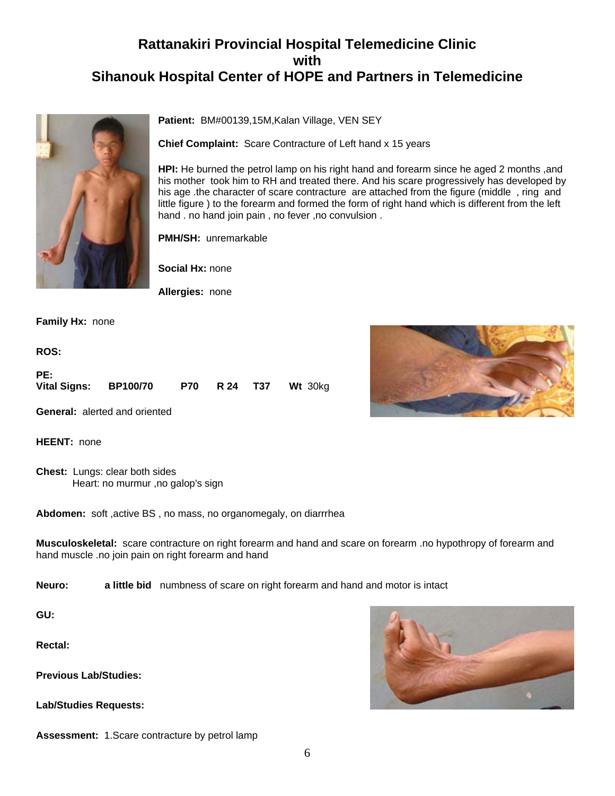# **Rattanakiri Provincial Hospital Telemedicine Clinic with Sihanouk Hospital Center of HOPE and Partners in Telemedicine**



**Patient:** BM#00139,15M,Kalan Village, VEN SEY

**Chief Complaint:** Scare Contracture of Left hand x 15 years

**HPI:** He burned the petrol lamp on his right hand and forearm since he aged 2 months ,and his mother took him to RH and treated there. And his scare progressively has developed by his age .the character of scare contracture are attached from the figure (middle , ring and little figure ) to the forearm and formed the form of right hand which is different from the left hand . no hand join pain , no fever ,no convulsion .

**PMH/SH:** unremarkable

**Social Hx:** none

**Allergies:** none

**Family Hx:** none

**ROS:**

| PE:                   |  |  |                             |
|-----------------------|--|--|-----------------------------|
| Vital Signs: BP100/70 |  |  | <b>P70 R 24 T37 Wt 30kg</b> |

**General:** alerted and oriented

**HEENT:** none

**Chest:** Lungs: clear both sides Heart: no murmur ,no galop's sign

**Abdomen:** soft ,active BS , no mass, no organomegaly, on diarrrhea

**Musculoskeletal:** scare contracture on right forearm and hand and scare on forearm .no hypothropy of forearm and hand muscle .no join pain on right forearm and hand

**Neuro: a little bid** numbness of scare on right forearm and hand and motor is intact

**GU:**

**Rectal:**

**Previous Lab/Studies:**

**Lab/Studies Requests:**





**Assessment:** 1.Scare contracture by petrol lamp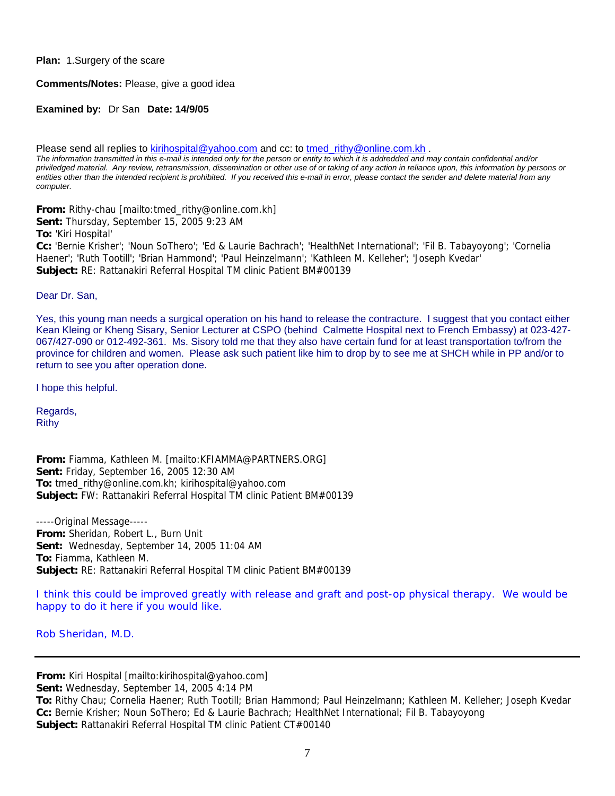#### **Plan:** 1.Surgery of the scare

#### **Comments/Notes:** Please, give a good idea

#### **Examined by:** Dr San **Date: 14/9/05**

Please send all replies to kirihospital@yahoo.com and cc: to tmed\_rithy@online.com.kh .

*The information transmitted in this e-mail is intended only for the person or entity to which it is addredded and may contain confidential and/or priviledged material. Any review, retransmission, dissemination or other use of or taking of any action in reliance upon, this information by persons or*  entities other than the intended recipient is prohibited. If you received this e-mail in error, please contact the sender and delete material from any *computer.*

**From:** Rithy-chau [mailto:tmed\_rithy@online.com.kh]

**Sent:** Thursday, September 15, 2005 9:23 AM

**To:** 'Kiri Hospital'

**Cc:** 'Bernie Krisher'; 'Noun SoThero'; 'Ed & Laurie Bachrach'; 'HealthNet International'; 'Fil B. Tabayoyong'; 'Cornelia Haener'; 'Ruth Tootill'; 'Brian Hammond'; 'Paul Heinzelmann'; 'Kathleen M. Kelleher'; 'Joseph Kvedar' **Subject:** RE: Rattanakiri Referral Hospital TM clinic Patient BM#00139

#### Dear Dr. San,

Yes, this young man needs a surgical operation on his hand to release the contracture. I suggest that you contact either Kean Kleing or Kheng Sisary, Senior Lecturer at CSPO (behind Calmette Hospital next to French Embassy) at 023-427- 067/427-090 or 012-492-361. Ms. Sisory told me that they also have certain fund for at least transportation to/from the province for children and women. Please ask such patient like him to drop by to see me at SHCH while in PP and/or to return to see you after operation done.

I hope this helpful.

Regards, Rithy

**From:** Fiamma, Kathleen M. [mailto:KFIAMMA@PARTNERS.ORG] **Sent:** Friday, September 16, 2005 12:30 AM **To:** tmed\_rithy@online.com.kh; kirihospital@yahoo.com **Subject:** FW: Rattanakiri Referral Hospital TM clinic Patient BM#00139

-----Original Message----- **From:** Sheridan, Robert L., Burn Unit **Sent:** Wednesday, September 14, 2005 11:04 AM **To:** Fiamma, Kathleen M. **Subject:** RE: Rattanakiri Referral Hospital TM clinic Patient BM#00139

I think this could be improved greatly with release and graft and post-op physical therapy. We would be happy to do it here if you would like.

Rob Sheridan, M.D.

**From:** Kiri Hospital [mailto:kirihospital@yahoo.com]

**Sent:** Wednesday, September 14, 2005 4:14 PM

**To:** Rithy Chau; Cornelia Haener; Ruth Tootill; Brian Hammond; Paul Heinzelmann; Kathleen M. Kelleher; Joseph Kvedar **Cc:** Bernie Krisher; Noun SoThero; Ed & Laurie Bachrach; HealthNet International; Fil B. Tabayoyong **Subject:** Rattanakiri Referral Hospital TM clinic Patient CT#00140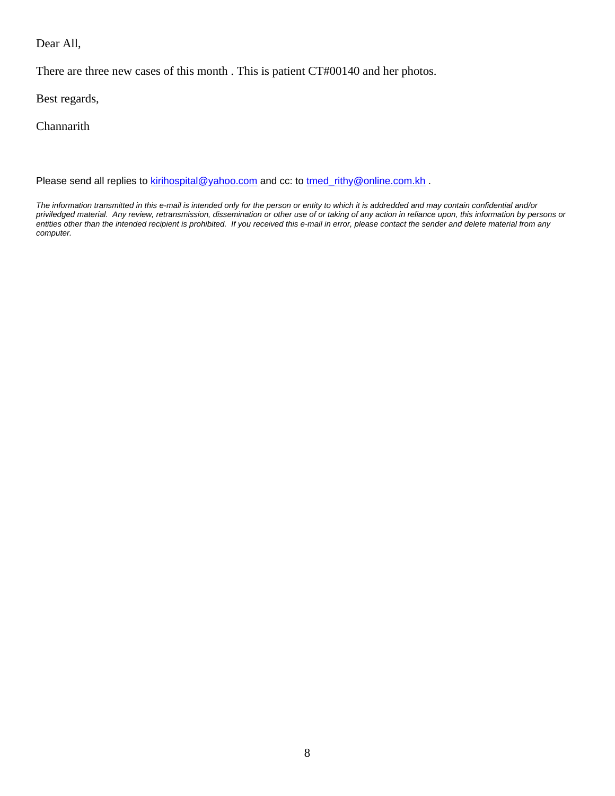Dear All,

There are three new cases of this month . This is patient CT#00140 and her photos.

Best regards,

**Channarith** 

Please send all replies to **kirihospital@yahoo.com** and cc: to tmed\_rithy@online.com.kh .

*The information transmitted in this e-mail is intended only for the person or entity to which it is addredded and may contain confidential and/or priviledged material. Any review, retransmission, dissemination or other use of or taking of any action in reliance upon, this information by persons or entities other than the intended recipient is prohibited. If you received this e-mail in error, please contact the sender and delete material from any computer.*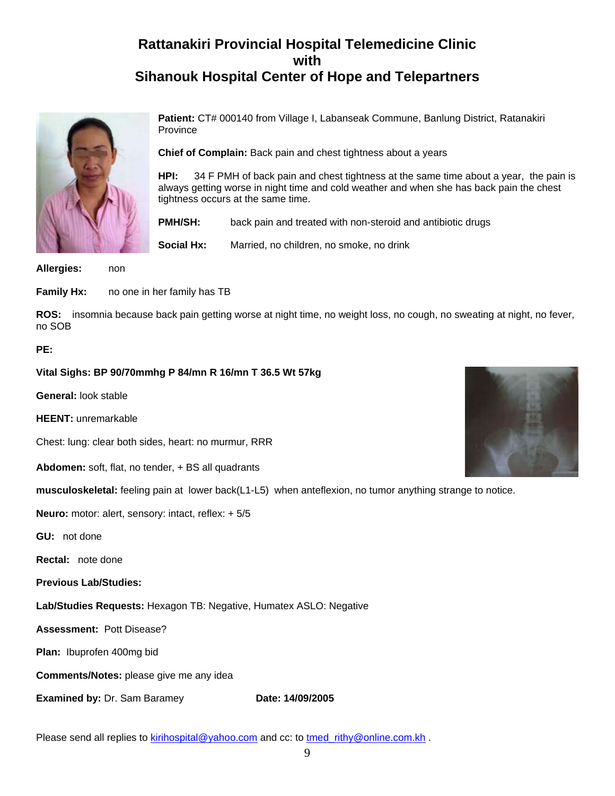# **Rattanakiri Provincial Hospital Telemedicine Clinic with Sihanouk Hospital Center of Hope and Telepartners**



**Patient:** CT# 000140 from Village I, Labanseak Commune, Banlung District, Ratanakiri Province

**Chief of Complain:** Back pain and chest tightness about a years

**HPI:** 34 F PMH of back pain and chest tightness at the same time about a year, the pain is always getting worse in night time and cold weather and when she has back pain the chest tightness occurs at the same time.

**PMH/SH:** back pain and treated with non-steroid and antibiotic drugs

**Social Hx:** Married, no children, no smoke, no drink

**Allergies:** non

**Family Hx:** no one in her family has TB

**ROS:** insomnia because back pain getting worse at night time, no weight loss, no cough, no sweating at night, no fever, no SOB

#### **PE:**

**Vital Sighs: BP 90/70mmhg P 84/mn R 16/mn T 36.5 Wt 57kg** 

**General:** look stable

**HEENT:** unremarkable

Chest: lung: clear both sides, heart: no murmur, RRR

**Abdomen:** soft, flat, no tender, + BS all quadrants

**musculoskeletal:** feeling pain at lower back(L1-L5) when anteflexion, no tumor anything strange to notice.

**Neuro:** motor: alert, sensory: intact, reflex: + 5/5

**GU:** not done

**Rectal:** note done

**Previous Lab/Studies:**

**Lab/Studies Requests:** Hexagon TB: Negative, Humatex ASLO: Negative

**Assessment:** Pott Disease?

**Plan:** Ibuprofen 400mg bid

**Comments/Notes:** please give me any idea

**Examined by: Dr. Sam Baramey <b>Date: 14/09/2005** 

Please send all replies to kirihospital@yahoo.com and cc: to tmed\_rithy@online.com.kh .

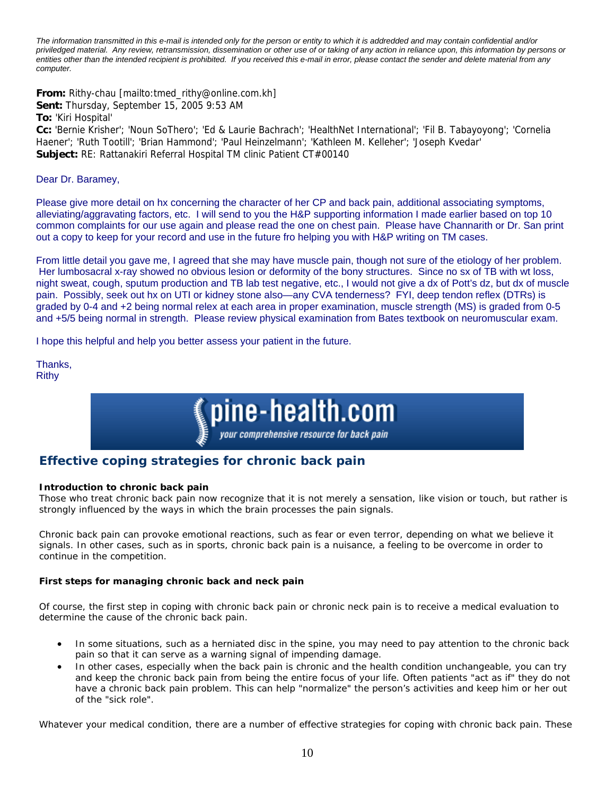*The information transmitted in this e-mail is intended only for the person or entity to which it is addredded and may contain confidential and/or priviledged material. Any review, retransmission, dissemination or other use of or taking of any action in reliance upon, this information by persons or entities other than the intended recipient is prohibited. If you received this e-mail in error, please contact the sender and delete material from any computer.*

**From:** Rithy-chau [mailto:tmed\_rithy@online.com.kh] **Sent:** Thursday, September 15, 2005 9:53 AM **To:** 'Kiri Hospital' **Cc:** 'Bernie Krisher'; 'Noun SoThero'; 'Ed & Laurie Bachrach'; 'HealthNet International'; 'Fil B. Tabayoyong'; 'Cornelia Haener'; 'Ruth Tootill'; 'Brian Hammond'; 'Paul Heinzelmann'; 'Kathleen M. Kelleher'; 'Joseph Kvedar'

**Subject:** RE: Rattanakiri Referral Hospital TM clinic Patient CT#00140

Dear Dr. Baramey,

Please give more detail on hx concerning the character of her CP and back pain, additional associating symptoms, alleviating/aggravating factors, etc. I will send to you the H&P supporting information I made earlier based on top 10 common complaints for our use again and please read the one on chest pain. Please have Channarith or Dr. San print out a copy to keep for your record and use in the future fro helping you with H&P writing on TM cases.

From little detail you gave me, I agreed that she may have muscle pain, though not sure of the etiology of her problem. Her lumbosacral x-ray showed no obvious lesion or deformity of the bony structures. Since no sx of TB with wt loss, night sweat, cough, sputum production and TB lab test negative, etc., I would not give a dx of Pott's dz, but dx of muscle pain. Possibly, seek out hx on UTI or kidney stone also—any CVA tenderness? FYI, deep tendon reflex (DTRs) is graded by 0-4 and +2 being normal relex at each area in proper examination, muscle strength (MS) is graded from 0-5 and +5/5 being normal in strength. Please review physical examination from Bates textbook on neuromuscular exam.

I hope this helpful and help you better assess your patient in the future.

Thanks, **Rithy** 



## **Effective coping strategies for chronic back pain**

#### **Introduction to chronic back pain**

Those who treat chronic back pain now recognize that it is not merely a sensation, like vision or touch, but rather is strongly influenced by the ways in which the brain processes the pain signals.

Chronic back pain can provoke emotional reactions, such as fear or even terror, depending on what we believe it signals. In other cases, such as in sports, chronic back pain is a nuisance, a feeling to be overcome in order to continue in the competition.

#### **First steps for managing chronic back and neck pain**

Of course, the first step in coping with chronic back pain or chronic neck pain is to receive a medical evaluation to determine the cause of the chronic back pain.

- In some situations, such as a herniated disc in the spine, you may need to pay attention to the chronic back pain so that it can serve as a warning signal of impending damage.
- In other cases, especially when the back pain is chronic and the health condition unchangeable, you can try and keep the chronic back pain from being the entire focus of your life. Often patients "act as if" they do not have a chronic back pain problem. This can help "normalize" the person's activities and keep him or her out of the "sick role".

Whatever your medical condition, there are a number of effective strategies for coping with chronic back pain. These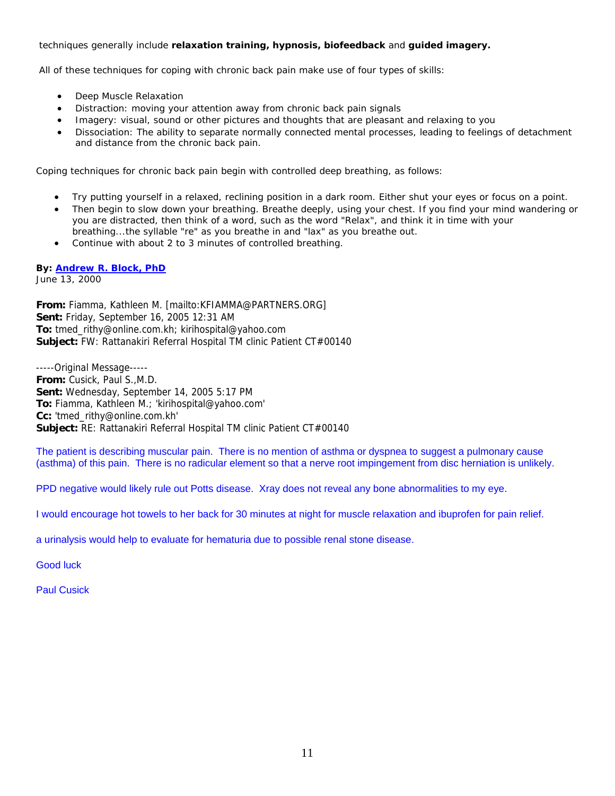#### techniques generally include **relaxation training, hypnosis, biofeedback** and **guided imagery.**

All of these techniques for coping with chronic back pain make use of four types of skills:

- Deep Muscle Relaxation
- Distraction: moving your attention away from chronic back pain signals
- Imagery: visual, sound or other pictures and thoughts that are pleasant and relaxing to you
- Dissociation: The ability to separate normally connected mental processes, leading to feelings of detachment and distance from the chronic back pain.

Coping techniques for chronic back pain begin with controlled deep breathing, as follows:

- Try putting yourself in a relaxed, reclining position in a dark room. Either shut your eyes or focus on a point.
- Then begin to slow down your breathing. Breathe deeply, using your chest. If you find your mind wandering or you are distracted, then think of a word, such as the word "Relax", and think it in time with your breathing...the syllable "re" as you breathe in and "lax" as you breathe out.
- Continue with about 2 to 3 minutes of controlled breathing.

#### **By: Andrew R. Block, PhD**

June 13, 2000

**From:** Fiamma, Kathleen M. [mailto:KFIAMMA@PARTNERS.ORG] **Sent:** Friday, September 16, 2005 12:31 AM **To:** tmed\_rithy@online.com.kh; kirihospital@yahoo.com **Subject:** FW: Rattanakiri Referral Hospital TM clinic Patient CT#00140

-----Original Message----- **From:** Cusick, Paul S.,M.D. **Sent:** Wednesday, September 14, 2005 5:17 PM **To:** Fiamma, Kathleen M.; 'kirihospital@yahoo.com' **Cc:** 'tmed\_rithy@online.com.kh' **Subject:** RE: Rattanakiri Referral Hospital TM clinic Patient CT#00140

The patient is describing muscular pain. There is no mention of asthma or dyspnea to suggest a pulmonary cause (asthma) of this pain. There is no radicular element so that a nerve root impingement from disc herniation is unlikely.

PPD negative would likely rule out Potts disease. Xray does not reveal any bone abnormalities to my eye.

I would encourage hot towels to her back for 30 minutes at night for muscle relaxation and ibuprofen for pain relief.

a urinalysis would help to evaluate for hematuria due to possible renal stone disease.

Good luck

Paul Cusick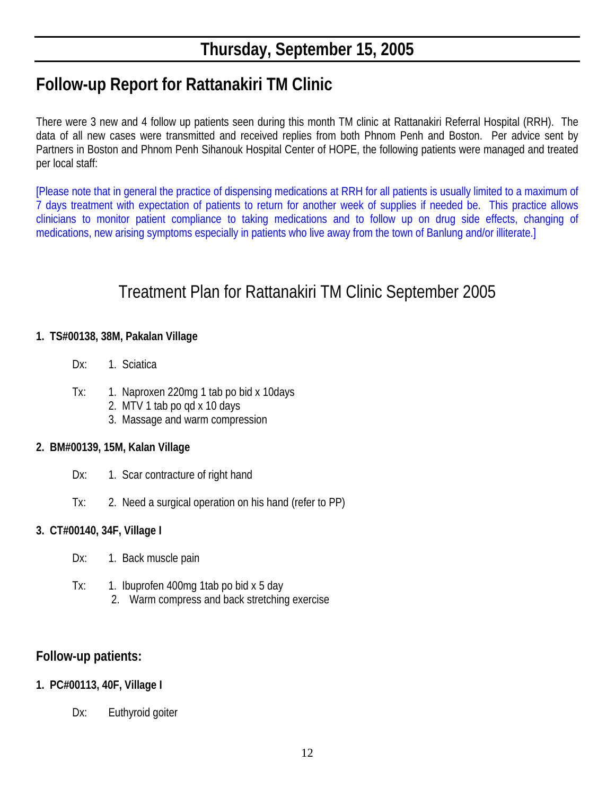# **Follow-up Report for Rattanakiri TM Clinic**

There were 3 new and 4 follow up patients seen during this month TM clinic at Rattanakiri Referral Hospital (RRH). The data of all new cases were transmitted and received replies from both Phnom Penh and Boston. Per advice sent by Partners in Boston and Phnom Penh Sihanouk Hospital Center of HOPE, the following patients were managed and treated per local staff:

[Please note that in general the practice of dispensing medications at RRH for all patients is usually limited to a maximum of 7 days treatment with expectation of patients to return for another week of supplies if needed be. This practice allows clinicians to monitor patient compliance to taking medications and to follow up on drug side effects, changing of medications, new arising symptoms especially in patients who live away from the town of Banlung and/or illiterate.]

# Treatment Plan for Rattanakiri TM Clinic September 2005

## **1. TS#00138, 38M, Pakalan Village**

- Dx: 1. Sciatica
- Tx: 1. Naproxen 220mg 1 tab po bid x 10days
	- 2. MTV 1 tab po qd x 10 days
	- 3. Massage and warm compression

## **2. BM#00139, 15M, Kalan Village**

- Dx: 1. Scar contracture of right hand
- Tx: 2. Need a surgical operation on his hand (refer to PP)

## **3. CT#00140, 34F, Village I**

- Dx: 1. Back muscle pain
- Tx: 1. Ibuprofen 400mg 1tab po bid x 5 day 2. Warm compress and back stretching exercise

# **Follow-up patients:**

## **1. PC#00113, 40F, Village I**

Dx: Euthyroid goiter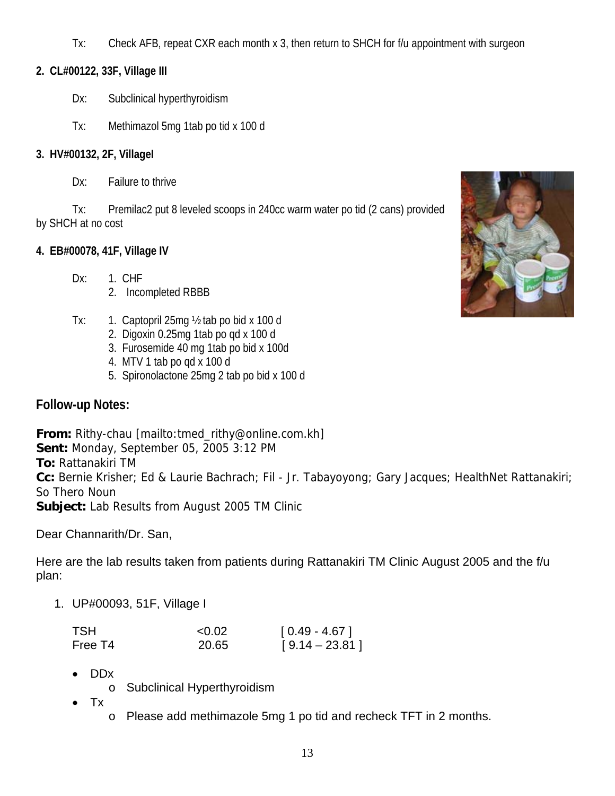Tx: Check AFB, repeat CXR each month x 3, then return to SHCH for f/u appointment with surgeon

# **2. CL#00122, 33F, Village III**

- Dx: Subclinical hyperthyroidism
- Tx: Methimazol 5mg 1tab po tid x 100 d

# **3. HV#00132, 2F, VillageI**

Dx: Failure to thrive

Tx: Premilac2 put 8 leveled scoops in 240cc warm water po tid (2 cans) provided by SHCH at no cost

# **4. EB#00078, 41F, Village IV**

- Dx: 1. CHF
	- 2. Incompleted RBBB
- Tx: 1. Captopril 25mg ½ tab po bid x 100 d
	- 2. Digoxin 0.25mg 1tab po qd x 100 d
	- 3. Furosemide 40 mg 1tab po bid x 100d
	- 4. MTV 1 tab po qd x 100 d
	- 5. Spironolactone 25mg 2 tab po bid x 100 d

# **Follow-up Notes:**

**From:** Rithy-chau [mailto:tmed\_rithy@online.com.kh] **Sent:** Monday, September 05, 2005 3:12 PM **To:** Rattanakiri TM **Cc:** Bernie Krisher; Ed & Laurie Bachrach; Fil - Jr. Tabayoyong; Gary Jacques; HealthNet Rattanakiri; So Thero Noun **Subject:** Lab Results from August 2005 TM Clinic

Dear Channarith/Dr. San,

Here are the lab results taken from patients during Rattanakiri TM Clinic August 2005 and the f/u plan:

1. UP#00093, 51F, Village I

| TSH     | < 0.02 | $[0.49 - 4.67]$  |
|---------|--------|------------------|
| Free T4 | 20.65  | $[9.14 - 23.81]$ |

- DDx
	- o Subclinical Hyperthyroidism
- Tx
	- o Please add methimazole 5mg 1 po tid and recheck TFT in 2 months.

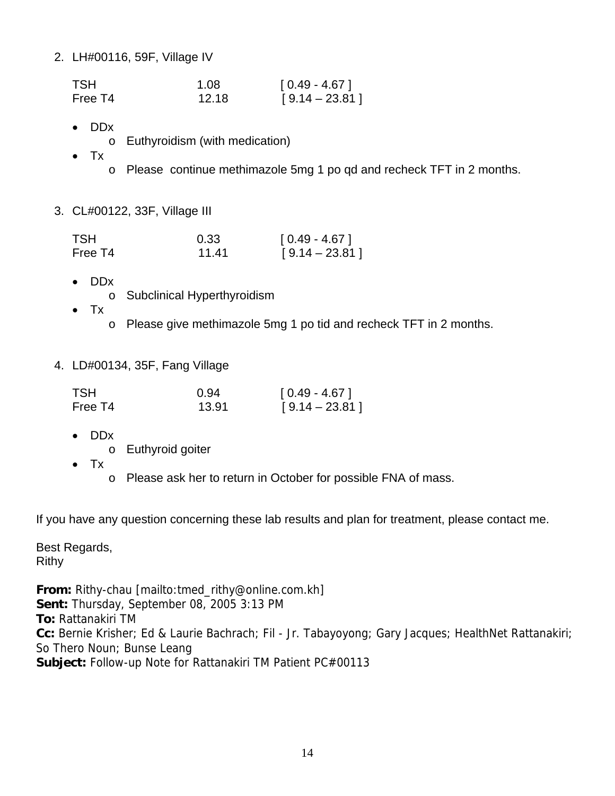2. LH#00116, 59F, Village IV

| <b>TSH</b> | 1.08  | $[0.49 - 4.67]$  |
|------------|-------|------------------|
| Free T4    | 12.18 | $[9.14 - 23.81]$ |

- DDx
	- o Euthyroidism (with medication)
- Tx
	- o Please continue methimazole 5mg 1 po qd and recheck TFT in 2 months.
- 3. CL#00122, 33F, Village III

| <b>TSH</b> | 0.33  | $[0.49 - 4.67]$  |
|------------|-------|------------------|
| Free T4    | 11.41 | $[9.14 - 23.81]$ |

- DDx
	- o Subclinical Hyperthyroidism
- Tx
	- o Please give methimazole 5mg 1 po tid and recheck TFT in 2 months.
- 4. LD#00134, 35F, Fang Village

| TSH.    | 0.94  | $[0.49 - 4.67]$  |
|---------|-------|------------------|
| Free T4 | 13.91 | $[9.14 - 23.81]$ |

- DDx
	- o Euthyroid goiter
- Tx
- o Please ask her to return in October for possible FNA of mass.

If you have any question concerning these lab results and plan for treatment, please contact me.

Best Regards, Rithy

**From:** Rithy-chau [mailto:tmed\_rithy@online.com.kh] **Sent:** Thursday, September 08, 2005 3:13 PM **To:** Rattanakiri TM **Cc:** Bernie Krisher; Ed & Laurie Bachrach; Fil - Jr. Tabayoyong; Gary Jacques; HealthNet Rattanakiri; So Thero Noun; Bunse Leang **Subject:** Follow-up Note for Rattanakiri TM Patient PC#00113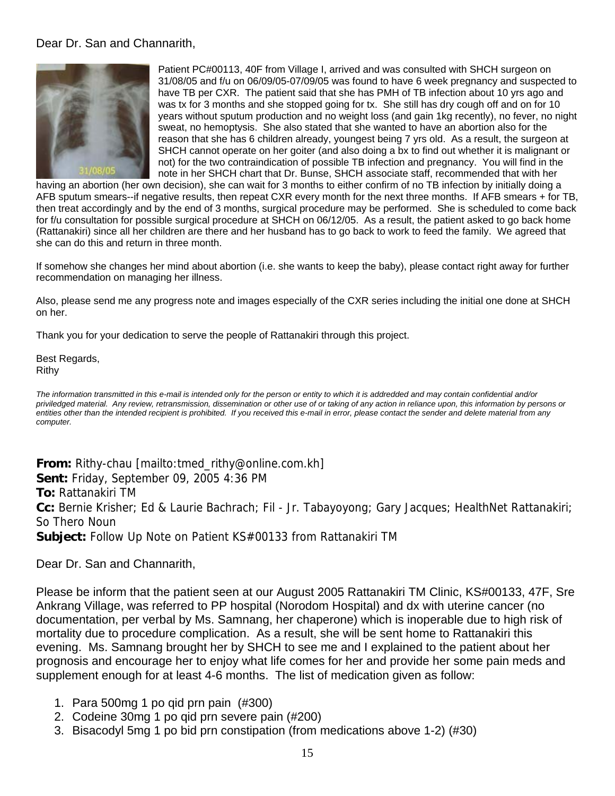## Dear Dr. San and Channarith,



Patient PC#00113, 40F from Village I, arrived and was consulted with SHCH surgeon on 31/08/05 and f/u on 06/09/05-07/09/05 was found to have 6 week pregnancy and suspected to have TB per CXR. The patient said that she has PMH of TB infection about 10 yrs ago and was tx for 3 months and she stopped going for tx. She still has dry cough off and on for 10 years without sputum production and no weight loss (and gain 1kg recently), no fever, no night sweat, no hemoptysis. She also stated that she wanted to have an abortion also for the reason that she has 6 children already, youngest being 7 yrs old. As a result, the surgeon at SHCH cannot operate on her goiter (and also doing a bx to find out whether it is malignant or not) for the two contraindication of possible TB infection and pregnancy. You will find in the note in her SHCH chart that Dr. Bunse, SHCH associate staff, recommended that with her

having an abortion (her own decision), she can wait for 3 months to either confirm of no TB infection by initially doing a AFB sputum smears--if negative results, then repeat CXR every month for the next three months. If AFB smears + for TB, then treat accordingly and by the end of 3 months, surgical procedure may be performed. She is scheduled to come back for f/u consultation for possible surgical procedure at SHCH on 06/12/05. As a result, the patient asked to go back home (Rattanakiri) since all her children are there and her husband has to go back to work to feed the family. We agreed that she can do this and return in three month.

If somehow she changes her mind about abortion (i.e. she wants to keep the baby), please contact right away for further recommendation on managing her illness.

Also, please send me any progress note and images especially of the CXR series including the initial one done at SHCH on her.

Thank you for your dedication to serve the people of Rattanakiri through this project.

Best Regards, Rithy

*The information transmitted in this e-mail is intended only for the person or entity to which it is addredded and may contain confidential and/or priviledged material. Any review, retransmission, dissemination or other use of or taking of any action in reliance upon, this information by persons or entities other than the intended recipient is prohibited. If you received this e-mail in error, please contact the sender and delete material from any computer.*

**From:** Rithy-chau [mailto:tmed\_rithy@online.com.kh] **Sent:** Friday, September 09, 2005 4:36 PM **To:** Rattanakiri TM **Cc:** Bernie Krisher; Ed & Laurie Bachrach; Fil - Jr. Tabayoyong; Gary Jacques; HealthNet Rattanakiri; So Thero Noun **Subject:** Follow Up Note on Patient KS#00133 from Rattanakiri TM

### Dear Dr. San and Channarith,

Please be inform that the patient seen at our August 2005 Rattanakiri TM Clinic, KS#00133, 47F, Sre Ankrang Village, was referred to PP hospital (Norodom Hospital) and dx with uterine cancer (no documentation, per verbal by Ms. Samnang, her chaperone) which is inoperable due to high risk of mortality due to procedure complication. As a result, she will be sent home to Rattanakiri this evening. Ms. Samnang brought her by SHCH to see me and I explained to the patient about her prognosis and encourage her to enjoy what life comes for her and provide her some pain meds and supplement enough for at least 4-6 months. The list of medication given as follow:

- 1. Para 500mg 1 po qid prn pain (#300)
- 2. Codeine 30mg 1 po qid prn severe pain (#200)
- 3. Bisacodyl 5mg 1 po bid prn constipation (from medications above 1-2) (#30)